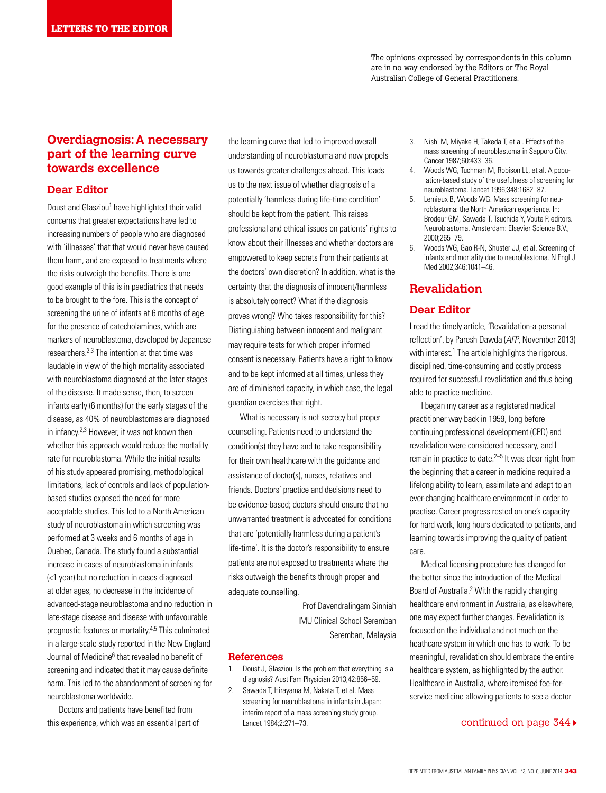The opinions expressed by correspondents in this column are in no way endorsed by the Editors or The Royal Australian College of General Practitioners.

# **Overdiagnosis: A necessary part of the learning curve towards excellence**

## **Dear Editor**

Doust and Glasziou<sup>1</sup> have highlighted their valid concerns that greater expectations have led to increasing numbers of people who are diagnosed with 'illnesses' that that would never have caused them harm, and are exposed to treatments where the risks outweigh the benefits. There is one good example of this is in paediatrics that needs to be brought to the fore. This is the concept of screening the urine of infants at 6 months of age for the presence of catecholamines, which are markers of neuroblastoma, developed by Japanese researchers.2,3 The intention at that time was laudable in view of the high mortality associated with neuroblastoma diagnosed at the later stages of the disease. It made sense, then, to screen infants early (6 months) for the early stages of the disease, as 40% of neuroblastomas are diagnosed in infancy.2,3 However, it was not known then whether this approach would reduce the mortality rate for neuroblastoma. While the initial results of his study appeared promising, methodological limitations, lack of controls and lack of populationbased studies exposed the need for more acceptable studies. This led to a North American study of neuroblastoma in which screening was performed at 3 weeks and 6 months of age in Quebec, Canada. The study found a substantial increase in cases of neuroblastoma in infants (<1 year) but no reduction in cases diagnosed at older ages, no decrease in the incidence of advanced-stage neuroblastoma and no reduction in late-stage disease and disease with unfavourable prognostic features or mortality,4,5 This culminated in a large-scale study reported in the New England Journal of Medicine<sup>6</sup> that revealed no benefit of screening and indicated that it may cause definite harm. This led to the abandonment of screening for neuroblastoma worldwide.

Doctors and patients have benefited from

the learning curve that led to improved overall understanding of neuroblastoma and now propels us towards greater challenges ahead. This leads us to the next issue of whether diagnosis of a potentially 'harmless during life-time condition' should be kept from the patient. This raises professional and ethical issues on patients' rights to know about their illnesses and whether doctors are empowered to keep secrets from their patients at the doctors' own discretion? In addition, what is the certainty that the diagnosis of innocent/harmless is absolutely correct? What if the diagnosis proves wrong? Who takes responsibility for this? Distinguishing between innocent and malignant may require tests for which proper informed consent is necessary. Patients have a right to know and to be kept informed at all times, unless they are of diminished capacity, in which case, the legal guardian exercises that right.

What is necessary is not secrecy but proper counselling. Patients need to understand the condition(s) they have and to take responsibility for their own healthcare with the guidance and assistance of doctor(s), nurses, relatives and friends. Doctors' practice and decisions need to be evidence-based; doctors should ensure that no unwarranted treatment is advocated for conditions that are 'potentially harmless during a patient's life-time'. It is the doctor's responsibility to ensure patients are not exposed to treatments where the risks outweigh the benefits through proper and adequate counselling.

> Prof Davendralingam Sinniah IMU Clinical School Seremban Seremban, Malaysia

## **References**

- 1. Doust J, Glasziou. Is the problem that everything is a diagnosis? Aust Fam Physician 2013;42:856–59.
- 2. Sawada T, Hirayama M, Nakata T, et al. Mass screening for neuroblastoma in infants in Japan: interim report of a mass screening study group. Lancet 1984;2:271–73. this experience, which was an essential part of Lancet 1984;2:271-73.
- 3. Nishi M, Miyake H, Takeda T, et al. Effects of the mass screening of neuroblastoma in Sapporo City. Cancer 1987;60:433–36.
- 4. Woods WG, Tuchman M, Robison LL, et al. A population-based study of the usefulness of screening for neuroblastoma. Lancet 1996;348:1682–87.
- 5. Lemieux B, Woods WG. Mass screening for neuroblastoma: the North American experience. In: Brodeur GM, Sawada T, Tsuchida Y, Voute P, editors. Neuroblastoma. Amsterdam: Elsevier Science B.V., 2000;265–79.
- 6. Woods WG, Gao R-N, Shuster JJ, et al. Screening of infants and mortality due to neuroblastoma. N Engl J Med 2002;346:1041–46.

# **Revalidation**

## **Dear Editor**

I read the timely article, 'Revalidation-a personal reflection', by Paresh Dawda (AFP, November 2013) with interest.<sup>1</sup> The article highlights the rigorous, disciplined, time-consuming and costly process required for successful revalidation and thus being able to practice medicine.

I began my career as a registered medical practitioner way back in 1959, long before continuing professional development (CPD) and revalidation were considered necessary, and I remain in practice to date. $2-5$  It was clear right from the beginning that a career in medicine required a lifelong ability to learn, assimilate and adapt to an ever-changing healthcare environment in order to practise. Career progress rested on one's capacity for hard work, long hours dedicated to patients, and learning towards improving the quality of patient care.

Medical licensing procedure has changed for the better since the introduction of the Medical Board of Australia.2 With the rapidly changing healthcare environment in Australia, as elsewhere, one may expect further changes. Revalidation is focused on the individual and not much on the heathcare system in which one has to work. To be meaningful, revalidation should embrace the entire healthcare system, as highlighted by the author. Healthcare in Australia, where itemised fee-forservice medicine allowing patients to see a doctor